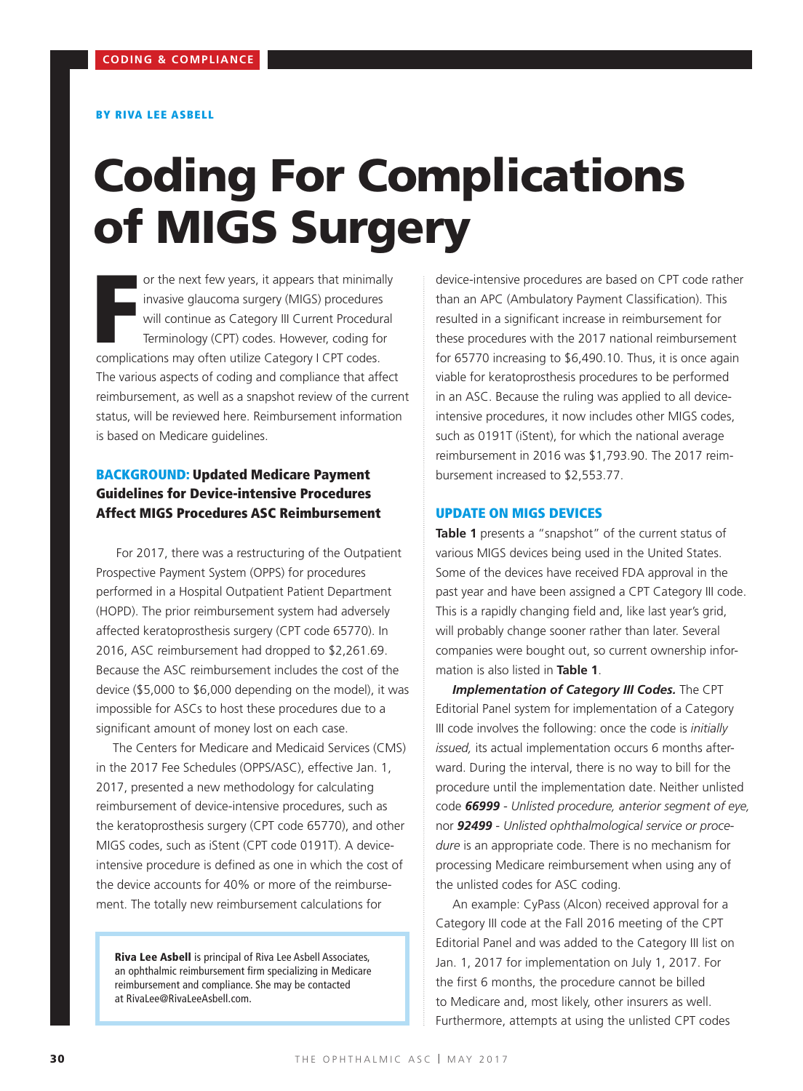#### BY RIVA LEE ASBELL

# Coding For Complications of MIGS Surgery

or the next few years, it appears that minimal<br>invasive glaucoma surgery (MIGS) procedures<br>will continue as Category III Current Procedur<br>Terminology (CPT) codes. However, coding fo<br>complications may often utilize Category or the next few years, it appears that minimally invasive glaucoma surgery (MIGS) procedures will continue as Category III Current Procedural Terminology (CPT) codes. However, coding for The various aspects of coding and compliance that affect reimbursement, as well as a snapshot review of the current status, will be reviewed here. Reimbursement information is based on Medicare guidelines.

## BACKGROUND: Updated Medicare Payment Guidelines for Device-intensive Procedures Affect MIGS Procedures ASC Reimbursement

 For 2017, there was a restructuring of the Outpatient Prospective Payment System (OPPS) for procedures performed in a Hospital Outpatient Patient Department (HOPD). The prior reimbursement system had adversely affected keratoprosthesis surgery (CPT code 65770). In 2016, ASC reimbursement had dropped to \$2,261.69. Because the ASC reimbursement includes the cost of the device (\$5,000 to \$6,000 depending on the model), it was impossible for ASCs to host these procedures due to a significant amount of money lost on each case.

The Centers for Medicare and Medicaid Services (CMS) in the 2017 Fee Schedules (OPPS/ASC), effective Jan. 1, 2017, presented a new methodology for calculating reimbursement of device-intensive procedures, such as the keratoprosthesis surgery (CPT code 65770), and other MIGS codes, such as iStent (CPT code 0191T). A deviceintensive procedure is defined as one in which the cost of the device accounts for 40% or more of the reimbursement. The totally new reimbursement calculations for

Riva Lee Asbell is principal of Riva Lee Asbell Associates, an ophthalmic reimbursement firm specializing in Medicare reimbursement and compliance. She may be contacted at RivaLee@RivaLeeAsbell.com.

device-intensive procedures are based on CPT code rather than an APC (Ambulatory Payment Classification). This resulted in a significant increase in reimbursement for these procedures with the 2017 national reimbursement for 65770 increasing to \$6,490.10. Thus, it is once again viable for keratoprosthesis procedures to be performed in an ASC. Because the ruling was applied to all deviceintensive procedures, it now includes other MIGS codes, such as 0191T (iStent), for which the national average reimbursement in 2016 was \$1,793.90. The 2017 reimbursement increased to \$2,553.77.

#### UPDATE ON MIGS DEVICES

**Table 1** presents a "snapshot" of the current status of various MIGS devices being used in the United States. Some of the devices have received FDA approval in the past year and have been assigned a CPT Category III code. This is a rapidly changing field and, like last year's grid, will probably change sooner rather than later. Several companies were bought out, so current ownership information is also listed in **Table 1**.

*Implementation of Category III Codes.* The CPT Editorial Panel system for implementation of a Category III code involves the following: once the code is *initially issued,* its actual implementation occurs 6 months afterward. During the interval, there is no way to bill for the procedure until the implementation date. Neither unlisted code *66999 - Unlisted procedure, anterior segment of eye,*  nor *92499 - Unlisted ophthalmological service or procedure* is an appropriate code. There is no mechanism for processing Medicare reimbursement when using any of the unlisted codes for ASC coding.

An example: CyPass (Alcon) received approval for a Category III code at the Fall 2016 meeting of the CPT Editorial Panel and was added to the Category III list on Jan. 1, 2017 for implementation on July 1, 2017. For the first 6 months, the procedure cannot be billed to Medicare and, most likely, other insurers as well. Furthermore, attempts at using the unlisted CPT codes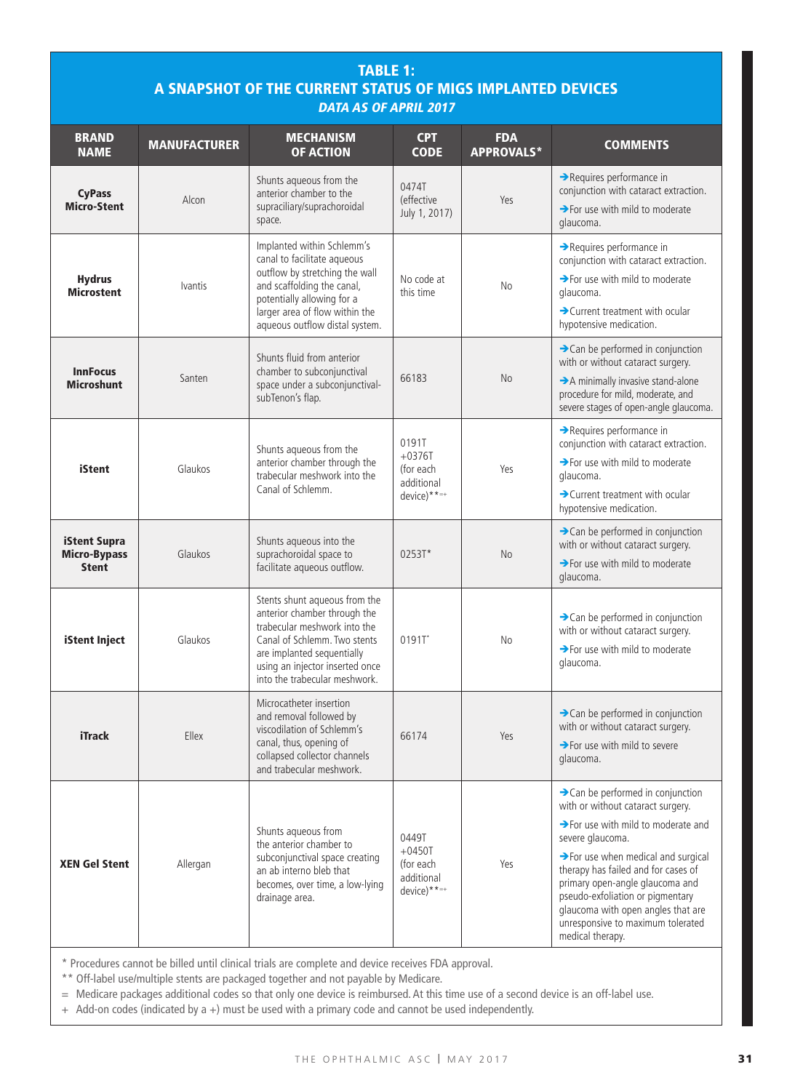| <b>TABLE 1:</b><br>A SNAPSHOT OF THE CURRENT STATUS OF MIGS IMPLANTED DEVICES<br><b>DATA AS OF APRIL 2017</b> |                     |                                                                                                                                                                                                                                 |                                                                 |                                 |                                                                                                                                                                                                                                                                                                                                                                                                                           |
|---------------------------------------------------------------------------------------------------------------|---------------------|---------------------------------------------------------------------------------------------------------------------------------------------------------------------------------------------------------------------------------|-----------------------------------------------------------------|---------------------------------|---------------------------------------------------------------------------------------------------------------------------------------------------------------------------------------------------------------------------------------------------------------------------------------------------------------------------------------------------------------------------------------------------------------------------|
| <b>BRAND</b><br><b>NAME</b>                                                                                   | <b>MANUFACTURER</b> | <b>MECHANISM</b><br><b>OF ACTION</b>                                                                                                                                                                                            | <b>CPT</b><br><b>CODE</b>                                       | <b>FDA</b><br><b>APPROVALS*</b> | <b>COMMENTS</b>                                                                                                                                                                                                                                                                                                                                                                                                           |
| <b>CyPass</b><br><b>Micro-Stent</b>                                                                           | Alcon               | Shunts aqueous from the<br>anterior chamber to the<br>supraciliary/suprachoroidal<br>space.                                                                                                                                     | 0474T<br>(effective<br>July 1, 2017)                            | Yes                             | $\rightarrow$ Requires performance in<br>conjunction with cataract extraction.<br>$\rightarrow$ For use with mild to moderate<br>glaucoma.                                                                                                                                                                                                                                                                                |
| <b>Hydrus</b><br><b>Microstent</b>                                                                            | <i>lvantis</i>      | Implanted within Schlemm's<br>canal to facilitate aqueous<br>outflow by stretching the wall<br>and scaffolding the canal,<br>potentially allowing for a<br>larger area of flow within the<br>aqueous outflow distal system.     | No code at<br>this time                                         | No                              | Requires performance in<br>conjunction with cataract extraction.<br>>For use with mild to moderate<br>glaucoma.<br>> Current treatment with ocular<br>hypotensive medication.                                                                                                                                                                                                                                             |
| <b>InnFocus</b><br><b>Microshunt</b>                                                                          | Santen              | Shunts fluid from anterior<br>chamber to subconjunctival<br>space under a subconjunctival-<br>subTenon's flap.                                                                                                                  | 66183                                                           | No                              | $\rightarrow$ Can be performed in conjunction<br>with or without cataract surgery.<br>A minimally invasive stand-alone<br>procedure for mild, moderate, and<br>severe stages of open-angle glaucoma.                                                                                                                                                                                                                      |
| <b>iStent</b>                                                                                                 | Glaukos             | Shunts aqueous from the<br>anterior chamber through the<br>trabecular meshwork into the<br>Canal of Schlemm.                                                                                                                    | 0191T<br>$+0376T$<br>(for each<br>additional<br>$device)***=+}$ | Yes                             | Requires performance in<br>conjunction with cataract extraction.<br>$\rightarrow$ For use with mild to moderate<br>glaucoma.<br>> Current treatment with ocular<br>hypotensive medication.                                                                                                                                                                                                                                |
| <b>iStent Supra</b><br><b>Micro-Bypass</b><br><b>Stent</b>                                                    | Glaukos             | Shunts aqueous into the<br>suprachoroidal space to<br>facilitate aqueous outflow.                                                                                                                                               | 0253T*                                                          | N <sub>o</sub>                  | $\rightarrow$ Can be performed in conjunction<br>with or without cataract surgery.<br>$\rightarrow$ For use with mild to moderate<br>glaucoma.                                                                                                                                                                                                                                                                            |
| <b>iStent Inject</b>                                                                                          | Glaukos             | Stents shunt aqueous from the<br>anterior chamber through the<br>trabecular meshwork into the<br>Canal of Schlemm. Two stents<br>are implanted sequentially<br>using an injector inserted once<br>into the trabecular meshwork. | 0191T                                                           | No                              | $\rightarrow$ Can be performed in conjunction<br>with or without cataract surgery.<br>$\rightarrow$ For use with mild to moderate<br>glaucoma.                                                                                                                                                                                                                                                                            |
| <b>iTrack</b>                                                                                                 | Ellex               | Microcatheter insertion<br>and removal followed by<br>viscodilation of Schlemm's<br>canal, thus, opening of<br>collapsed collector channels<br>and trabecular meshwork.                                                         | 66174                                                           | Yes                             | $\rightarrow$ Can be performed in conjunction<br>with or without cataract surgery.<br>$\rightarrow$ For use with mild to severe<br>glaucoma.                                                                                                                                                                                                                                                                              |
| <b>XEN Gel Stent</b>                                                                                          | Allergan            | Shunts aqueous from<br>the anterior chamber to<br>subconjunctival space creating<br>an ab interno bleb that<br>becomes, over time, a low-lying<br>drainage area.                                                                | 0449T<br>$+0450T$<br>(for each<br>additional<br>$device)***=+}$ | Yes                             | $\rightarrow$ Can be performed in conjunction<br>with or without cataract surgery.<br>$\rightarrow$ For use with mild to moderate and<br>severe glaucoma.<br>$\rightarrow$ For use when medical and surgical<br>therapy has failed and for cases of<br>primary open-angle glaucoma and<br>pseudo-exfoliation or pigmentary<br>glaucoma with open angles that are<br>unresponsive to maximum tolerated<br>medical therapy. |

\* Procedures cannot be billed until clinical trials are complete and device receives FDA approval.

\*\* Off-label use/multiple stents are packaged together and not payable by Medicare.

= Medicare packages additional codes so that only one device is reimbursed. At this time use of a second device is an off-label use.

+ Add-on codes (indicated by a +) must be used with a primary code and cannot be used independently.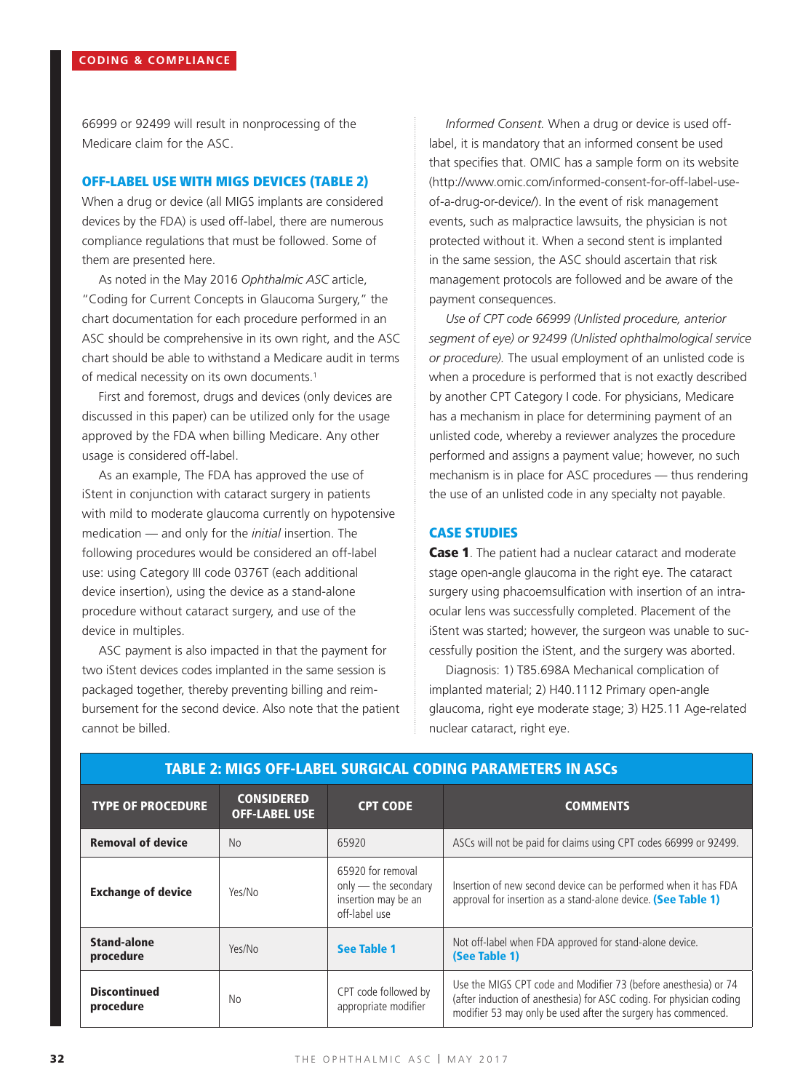66999 or 92499 will result in nonprocessing of the Medicare claim for the ASC.

## OFF-LABEL USE WITH MIGS DEVICES (TABLE 2)

When a drug or device (all MIGS implants are considered devices by the FDA) is used off-label, there are numerous compliance regulations that must be followed. Some of them are presented here.

As noted in the May 2016 *Ophthalmic ASC* article, "Coding for Current Concepts in Glaucoma Surgery," the chart documentation for each procedure performed in an ASC should be comprehensive in its own right, and the ASC chart should be able to withstand a Medicare audit in terms of medical necessity on its own documents.<sup>1</sup>

First and foremost, drugs and devices (only devices are discussed in this paper) can be utilized only for the usage approved by the FDA when billing Medicare. Any other usage is considered off-label.

As an example, The FDA has approved the use of iStent in conjunction with cataract surgery in patients with mild to moderate glaucoma currently on hypotensive medication — and only for the *initial* insertion. The following procedures would be considered an off-label use: using Category III code 0376T (each additional device insertion), using the device as a stand-alone procedure without cataract surgery, and use of the device in multiples.

ASC payment is also impacted in that the payment for two iStent devices codes implanted in the same session is packaged together, thereby preventing billing and reimbursement for the second device. Also note that the patient cannot be billed.

*Informed Consent.* When a drug or device is used offlabel, it is mandatory that an informed consent be used that specifies that. OMIC has a sample form on its website (http://www.omic.com/informed-consent-for-off-label-useof-a-drug-or-device/). In the event of risk management events, such as malpractice lawsuits, the physician is not protected without it. When a second stent is implanted in the same session, the ASC should ascertain that risk management protocols are followed and be aware of the payment consequences.

*Use of CPT code 66999 (Unlisted procedure, anterior segment of eye) or 92499 (Unlisted ophthalmological service or procedure).* The usual employment of an unlisted code is when a procedure is performed that is not exactly described by another CPT Category I code. For physicians, Medicare has a mechanism in place for determining payment of an unlisted code, whereby a reviewer analyzes the procedure performed and assigns a payment value; however, no such mechanism is in place for ASC procedures — thus rendering the use of an unlisted code in any specialty not payable.

## CASE STUDIES

Case 1. The patient had a nuclear cataract and moderate stage open-angle glaucoma in the right eye. The cataract surgery using phacoemsulfication with insertion of an intraocular lens was successfully completed. Placement of the iStent was started; however, the surgeon was unable to successfully position the iStent, and the surgery was aborted.

Diagnosis: 1) T85.698A Mechanical complication of implanted material; 2) H40.1112 Primary open-angle glaucoma, right eye moderate stage; 3) H25.11 Age-related nuclear cataract, right eye.

| <b>TYPE OF PROCEDURE</b>         | <b>CONSIDERED</b><br><b>OFF-LABEL USE</b> | <b>CPT CODE</b>                                                                   | <b>COMMENTS</b>                                                                                                                                                                                          |
|----------------------------------|-------------------------------------------|-----------------------------------------------------------------------------------|----------------------------------------------------------------------------------------------------------------------------------------------------------------------------------------------------------|
| <b>Removal of device</b>         | <b>No</b>                                 | 65920                                                                             | ASCs will not be paid for claims using CPT codes 66999 or 92499.                                                                                                                                         |
| <b>Exchange of device</b>        | Yes/No                                    | 65920 for removal<br>only - the secondary<br>insertion may be an<br>off-label use | Insertion of new second device can be performed when it has FDA<br>approval for insertion as a stand-alone device. (See Table 1)                                                                         |
| Stand-alone<br>procedure         | Yes/No                                    | See Table 1                                                                       | Not off-label when FDA approved for stand-alone device.<br>(See Table 1)                                                                                                                                 |
| <b>Discontinued</b><br>procedure | No.                                       | CPT code followed by<br>appropriate modifier                                      | Use the MIGS CPT code and Modifier 73 (before anesthesia) or 74<br>(after induction of anesthesia) for ASC coding. For physician coding<br>modifier 53 may only be used after the surgery has commenced. |

#### TABLE 2: MIGS OFF-LABEL SURGICAL CODING PARAMETERS IN ASCs